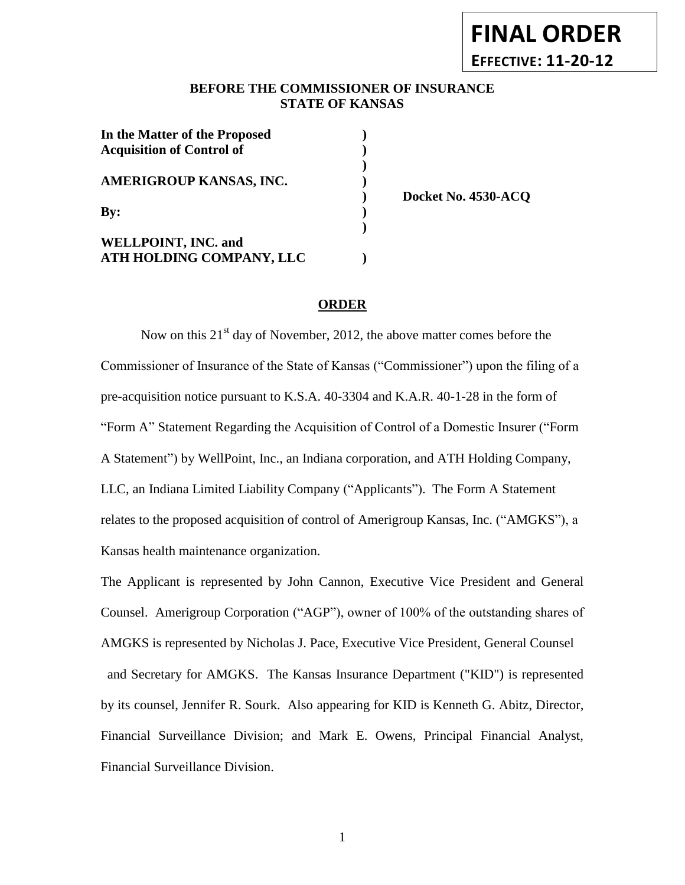## **BEFORE THE COMMISSIONER OF INSURANCE** *-12***STATE OF KANSAS**

| In the Matter of the Proposed<br><b>Acquisition of Control of</b> |  |
|-------------------------------------------------------------------|--|
|                                                                   |  |
| AMERIGROUP KANSAS, INC.                                           |  |
| $\mathbf{By:}$                                                    |  |
|                                                                   |  |
| <b>WELLPOINT, INC. and</b>                                        |  |
| ATH HOLDING COMPANY, LLC                                          |  |

**) Docket No. 4530-ACQ**

**FINAL ORDER**

**EFFECTIVE: 11-20-12**

## **ORDER**

**)**

Now on this  $21<sup>st</sup>$  day of November, 2012, the above matter comes before the Commissioner of Insurance of the State of Kansas ("Commissioner") upon the filing of a pre-acquisition notice pursuant to K.S.A. 40-3304 and K.A.R. 40-1-28 in the form of "Form A" Statement Regarding the Acquisition of Control of a Domestic Insurer ("Form A Statement") by WellPoint, Inc., an Indiana corporation, and ATH Holding Company, LLC, an Indiana Limited Liability Company ("Applicants"). The Form A Statement relates to the proposed acquisition of control of Amerigroup Kansas, Inc. ("AMGKS"), a Kansas health maintenance organization.

The Applicant is represented by John Cannon, Executive Vice President and General Counsel. Amerigroup Corporation ("AGP"), owner of 100% of the outstanding shares of AMGKS is represented by Nicholas J. Pace, Executive Vice President, General Counsel and Secretary for AMGKS. The Kansas Insurance Department ("KID") is represented by its counsel, Jennifer R. Sourk. Also appearing for KID is Kenneth G. Abitz, Director, Financial Surveillance Division; and Mark E. Owens, Principal Financial Analyst, Financial Surveillance Division.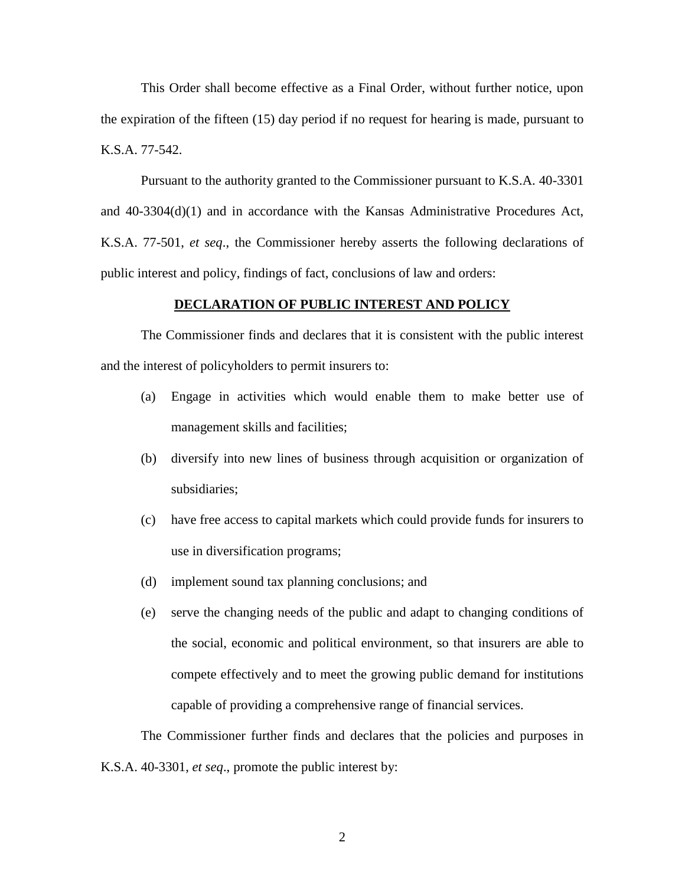This Order shall become effective as a Final Order, without further notice, upon the expiration of the fifteen (15) day period if no request for hearing is made, pursuant to K.S.A. 77-542.

Pursuant to the authority granted to the Commissioner pursuant to K.S.A. 40-3301 and 40-3304(d)(1) and in accordance with the Kansas Administrative Procedures Act, K.S.A. 77-501, *et seq*., the Commissioner hereby asserts the following declarations of public interest and policy, findings of fact, conclusions of law and orders:

### **DECLARATION OF PUBLIC INTEREST AND POLICY**

The Commissioner finds and declares that it is consistent with the public interest and the interest of policyholders to permit insurers to:

- (a) Engage in activities which would enable them to make better use of management skills and facilities;
- (b) diversify into new lines of business through acquisition or organization of subsidiaries;
- (c) have free access to capital markets which could provide funds for insurers to use in diversification programs;
- (d) implement sound tax planning conclusions; and
- (e) serve the changing needs of the public and adapt to changing conditions of the social, economic and political environment, so that insurers are able to compete effectively and to meet the growing public demand for institutions capable of providing a comprehensive range of financial services.

The Commissioner further finds and declares that the policies and purposes in K.S.A. 40-3301, *et seq*., promote the public interest by: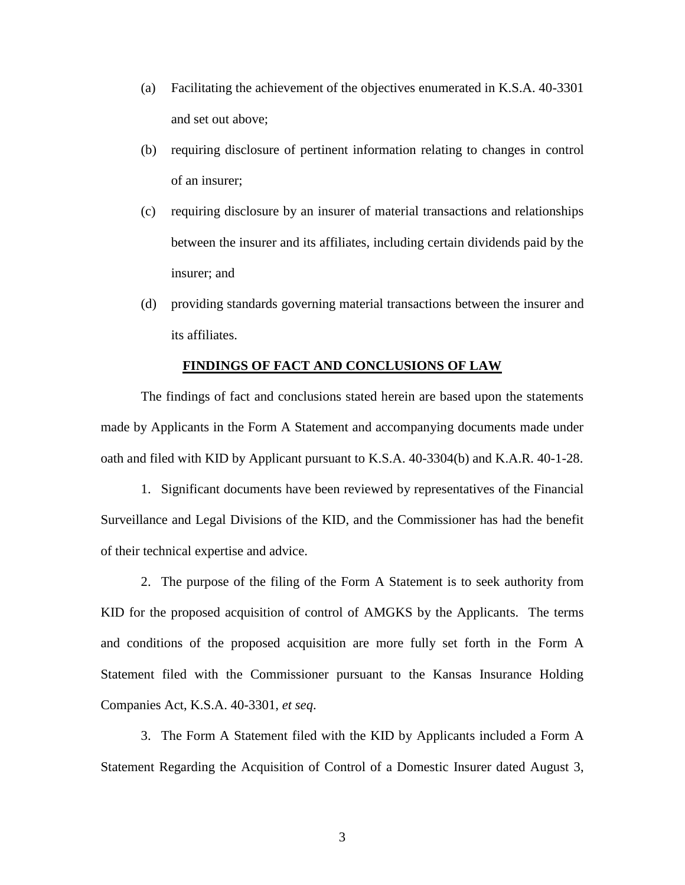- (a) Facilitating the achievement of the objectives enumerated in K.S.A. 40-3301 and set out above;
- (b) requiring disclosure of pertinent information relating to changes in control of an insurer;
- (c) requiring disclosure by an insurer of material transactions and relationships between the insurer and its affiliates, including certain dividends paid by the insurer; and
- (d) providing standards governing material transactions between the insurer and its affiliates.

#### **FINDINGS OF FACT AND CONCLUSIONS OF LAW**

The findings of fact and conclusions stated herein are based upon the statements made by Applicants in the Form A Statement and accompanying documents made under oath and filed with KID by Applicant pursuant to K.S.A. 40-3304(b) and K.A.R. 40-1-28.

1. Significant documents have been reviewed by representatives of the Financial Surveillance and Legal Divisions of the KID, and the Commissioner has had the benefit of their technical expertise and advice.

2. The purpose of the filing of the Form A Statement is to seek authority from KID for the proposed acquisition of control of AMGKS by the Applicants. The terms and conditions of the proposed acquisition are more fully set forth in the Form A Statement filed with the Commissioner pursuant to the Kansas Insurance Holding Companies Act, K.S.A. 40-3301, *et seq*.

3. The Form A Statement filed with the KID by Applicants included a Form A Statement Regarding the Acquisition of Control of a Domestic Insurer dated August 3,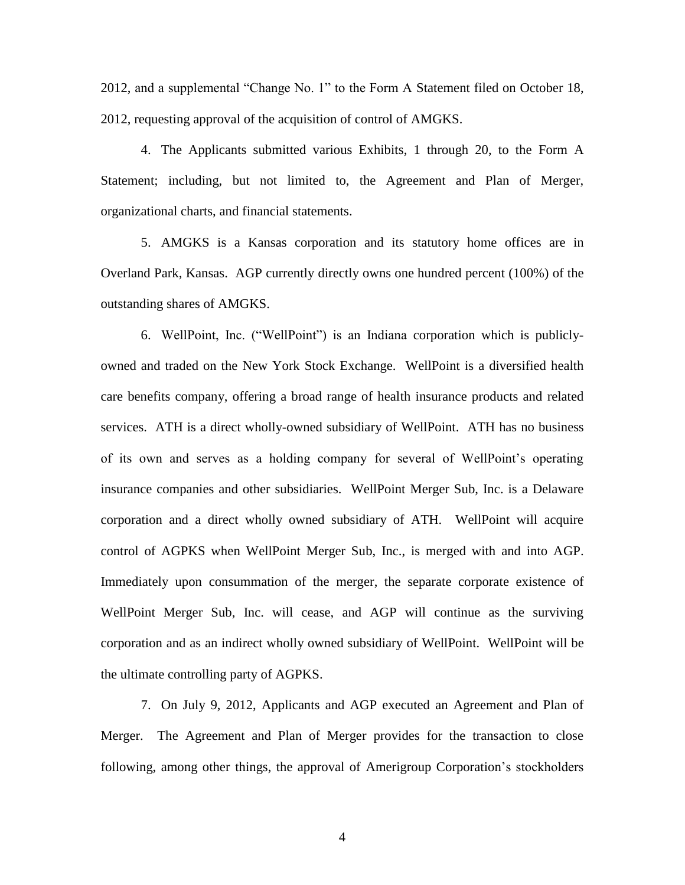2012, and a supplemental "Change No. 1" to the Form A Statement filed on October 18, 2012, requesting approval of the acquisition of control of AMGKS.

4. The Applicants submitted various Exhibits, 1 through 20, to the Form A Statement; including, but not limited to, the Agreement and Plan of Merger, organizational charts, and financial statements.

5. AMGKS is a Kansas corporation and its statutory home offices are in Overland Park, Kansas. AGP currently directly owns one hundred percent (100%) of the outstanding shares of AMGKS.

6. WellPoint, Inc. ("WellPoint") is an Indiana corporation which is publiclyowned and traded on the New York Stock Exchange. WellPoint is a diversified health care benefits company, offering a broad range of health insurance products and related services. ATH is a direct wholly-owned subsidiary of WellPoint. ATH has no business of its own and serves as a holding company for several of WellPoint's operating insurance companies and other subsidiaries. WellPoint Merger Sub, Inc. is a Delaware corporation and a direct wholly owned subsidiary of ATH. WellPoint will acquire control of AGPKS when WellPoint Merger Sub, Inc., is merged with and into AGP. Immediately upon consummation of the merger, the separate corporate existence of WellPoint Merger Sub, Inc. will cease, and AGP will continue as the surviving corporation and as an indirect wholly owned subsidiary of WellPoint. WellPoint will be the ultimate controlling party of AGPKS.

7. On July 9, 2012, Applicants and AGP executed an Agreement and Plan of Merger. The Agreement and Plan of Merger provides for the transaction to close following, among other things, the approval of Amerigroup Corporation's stockholders

4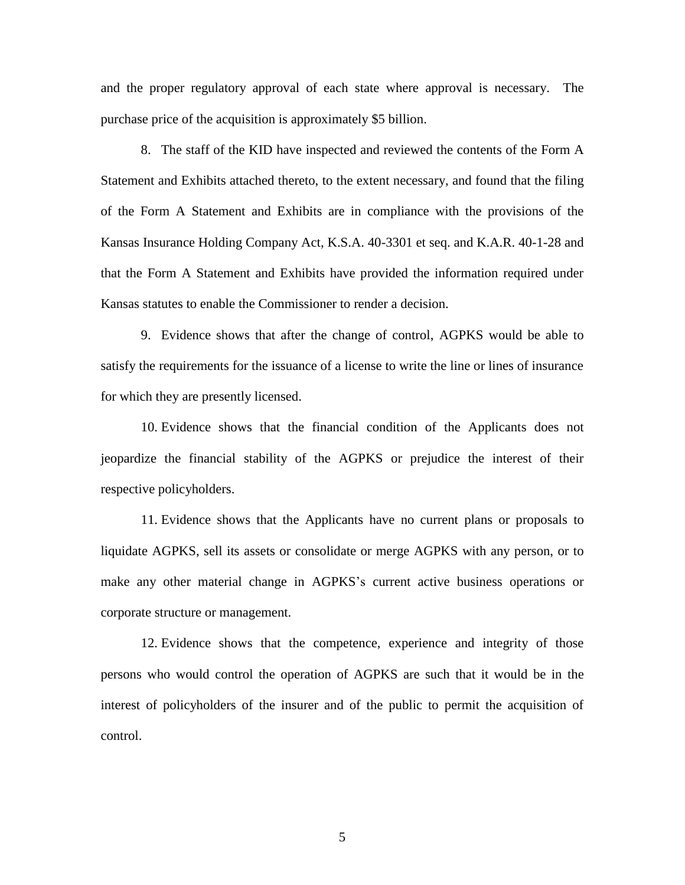and the proper regulatory approval of each state where approval is necessary. The purchase price of the acquisition is approximately \$5 billion.

8. The staff of the KID have inspected and reviewed the contents of the Form A Statement and Exhibits attached thereto, to the extent necessary, and found that the filing of the Form A Statement and Exhibits are in compliance with the provisions of the Kansas Insurance Holding Company Act, K.S.A. 40-3301 et seq. and K.A.R. 40-1-28 and that the Form A Statement and Exhibits have provided the information required under Kansas statutes to enable the Commissioner to render a decision.

9. Evidence shows that after the change of control, AGPKS would be able to satisfy the requirements for the issuance of a license to write the line or lines of insurance for which they are presently licensed.

10. Evidence shows that the financial condition of the Applicants does not jeopardize the financial stability of the AGPKS or prejudice the interest of their respective policyholders.

11. Evidence shows that the Applicants have no current plans or proposals to liquidate AGPKS, sell its assets or consolidate or merge AGPKS with any person, or to make any other material change in AGPKS's current active business operations or corporate structure or management.

12. Evidence shows that the competence, experience and integrity of those persons who would control the operation of AGPKS are such that it would be in the interest of policyholders of the insurer and of the public to permit the acquisition of control.

5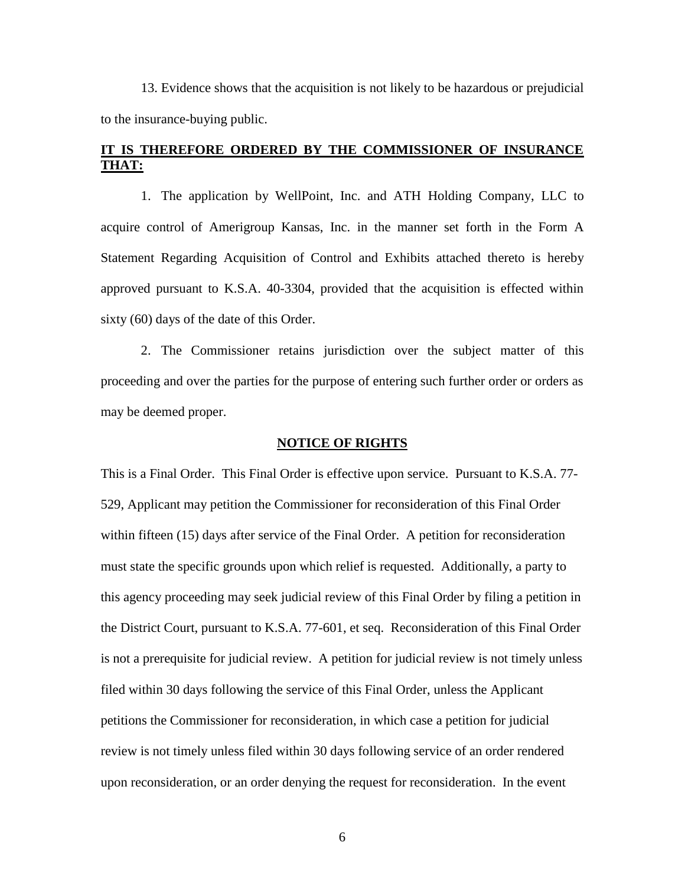13. Evidence shows that the acquisition is not likely to be hazardous or prejudicial to the insurance-buying public.

## **IT IS THEREFORE ORDERED BY THE COMMISSIONER OF INSURANCE THAT:**

1. The application by WellPoint, Inc. and ATH Holding Company, LLC to acquire control of Amerigroup Kansas, Inc. in the manner set forth in the Form A Statement Regarding Acquisition of Control and Exhibits attached thereto is hereby approved pursuant to K.S.A. 40-3304, provided that the acquisition is effected within sixty (60) days of the date of this Order.

2. The Commissioner retains jurisdiction over the subject matter of this proceeding and over the parties for the purpose of entering such further order or orders as may be deemed proper.

### **NOTICE OF RIGHTS**

This is a Final Order. This Final Order is effective upon service. Pursuant to K.S.A. 77- 529, Applicant may petition the Commissioner for reconsideration of this Final Order within fifteen (15) days after service of the Final Order. A petition for reconsideration must state the specific grounds upon which relief is requested. Additionally, a party to this agency proceeding may seek judicial review of this Final Order by filing a petition in the District Court, pursuant to K.S.A. 77-601, et seq. Reconsideration of this Final Order is not a prerequisite for judicial review. A petition for judicial review is not timely unless filed within 30 days following the service of this Final Order, unless the Applicant petitions the Commissioner for reconsideration, in which case a petition for judicial review is not timely unless filed within 30 days following service of an order rendered upon reconsideration, or an order denying the request for reconsideration. In the event

6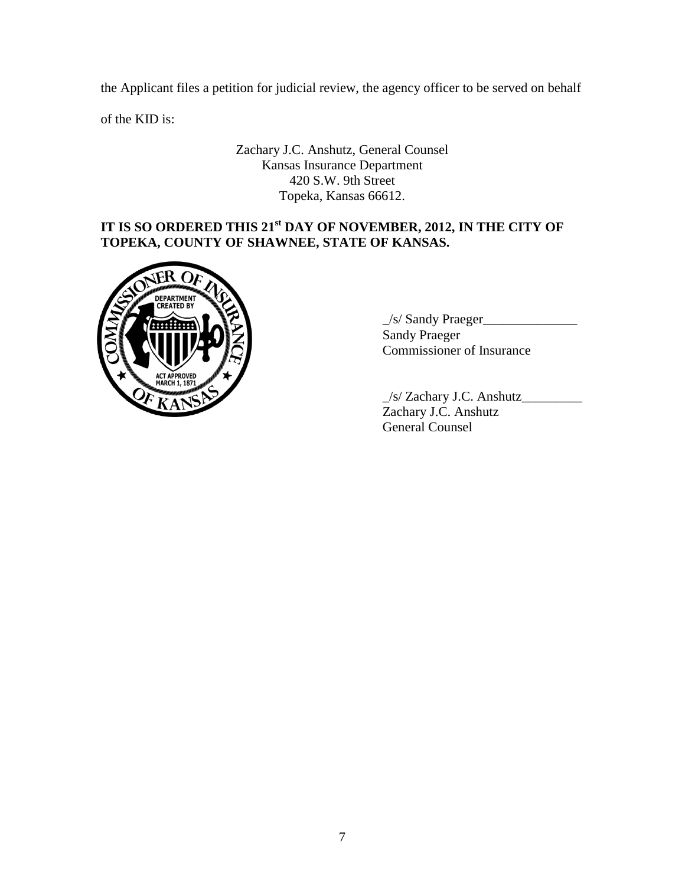the Applicant files a petition for judicial review, the agency officer to be served on behalf

of the KID is:

Zachary J.C. Anshutz, General Counsel Kansas Insurance Department 420 S.W. 9th Street Topeka, Kansas 66612.

# **IT IS SO ORDERED THIS 21st DAY OF NOVEMBER, 2012, IN THE CITY OF TOPEKA, COUNTY OF SHAWNEE, STATE OF KANSAS.**



 $\frac{1}{s}$  Sandy Praeger Sandy Praeger Commissioner of Insurance

\_/s/ Zachary J.C. Anshutz\_\_\_\_\_\_\_\_\_ Zachary J.C. Anshutz General Counsel